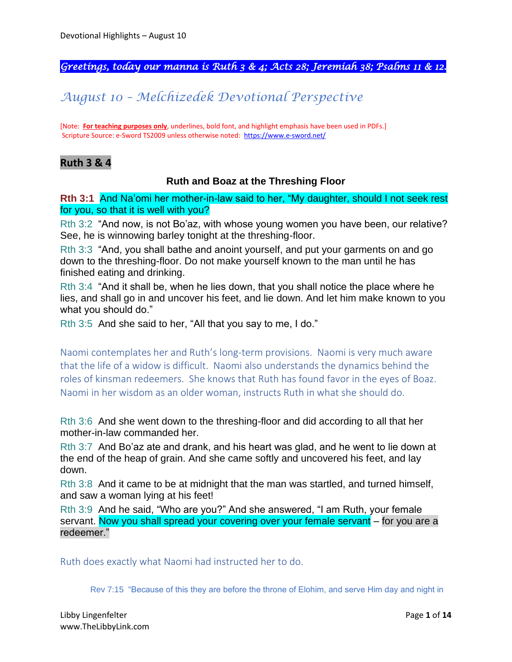*Greetings, today our manna is Ruth 3 & 4; Acts 28; Jeremiah 38; Psalms 11 & 12.* 

# *August 10 – Melchizedek Devotional Perspective*

[Note: **For teaching purposes only**, underlines, bold font, and highlight emphasis have been used in PDFs.] Scripture Source: e-Sword TS2009 unless otherwise noted: <https://www.e-sword.net/>

### **Ruth 3 & 4**

#### **Ruth and Boaz at the Threshing Floor**

**Rth 3:1** And Na'omi her mother-in-law said to her, "My daughter, should I not seek rest for you, so that it is well with you?

Rth 3:2 "And now, is not Bo'az, with whose young women you have been, our relative? See, he is winnowing barley tonight at the threshing-floor.

Rth 3:3 "And, you shall bathe and anoint yourself, and put your garments on and go down to the threshing-floor. Do not make yourself known to the man until he has finished eating and drinking.

Rth 3:4 "And it shall be, when he lies down, that you shall notice the place where he lies, and shall go in and uncover his feet, and lie down. And let him make known to you what you should do."

Rth 3:5 And she said to her, "All that you say to me, I do."

Naomi contemplates her and Ruth's long-term provisions. Naomi is very much aware that the life of a widow is difficult. Naomi also understands the dynamics behind the roles of kinsman redeemers. She knows that Ruth has found favor in the eyes of Boaz. Naomi in her wisdom as an older woman, instructs Ruth in what she should do.

Rth 3:6 And she went down to the threshing-floor and did according to all that her mother-in-law commanded her.

Rth 3:7 And Bo'az ate and drank, and his heart was glad, and he went to lie down at the end of the heap of grain. And she came softly and uncovered his feet, and lay down.

Rth 3:8 And it came to be at midnight that the man was startled, and turned himself, and saw a woman lying at his feet!

Rth 3:9 And he said, "Who are you?" And she answered, "I am Ruth, your female servant. Now you shall spread your covering over your female servant – for you are a redeemer."

Ruth does exactly what Naomi had instructed her to do.

Rev 7:15 "Because of this they are before the throne of Elohim, and serve Him day and night in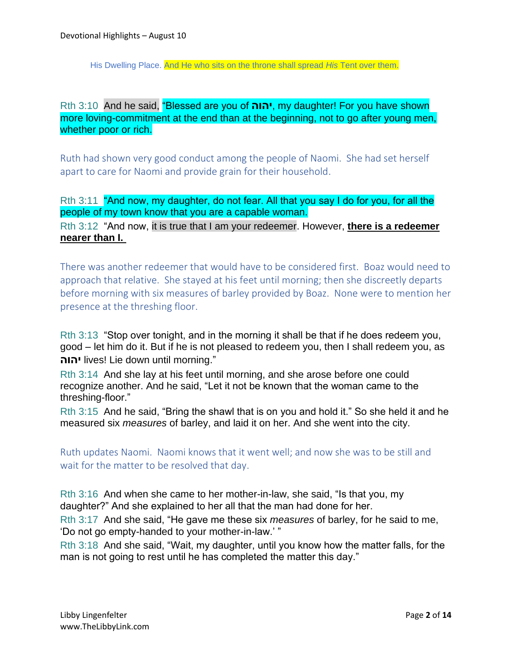His Dwelling Place. And He who sits on the throne shall spread *His* Tent over them.

Rth 3:10 And he said, "Blessed are you of **יהוה**, my daughter! For you have shown more loving-commitment at the end than at the beginning, not to go after young men, whether poor or rich.

Ruth had shown very good conduct among the people of Naomi. She had set herself apart to care for Naomi and provide grain for their household.

Rth 3:11 "And now, my daughter, do not fear. All that you say I do for you, for all the people of my town know that you are a capable woman.

Rth 3:12 "And now, it is true that I am your redeemer. However, **there is a redeemer nearer than I.**

There was another redeemer that would have to be considered first. Boaz would need to approach that relative. She stayed at his feet until morning; then she discreetly departs before morning with six measures of barley provided by Boaz. None were to mention her presence at the threshing floor.

Rth 3:13 "Stop over tonight, and in the morning it shall be that if he does redeem you, good – let him do it. But if he is not pleased to redeem you, then I shall redeem you, as **יהוה** lives! Lie down until morning."

Rth 3:14 And she lay at his feet until morning, and she arose before one could recognize another. And he said, "Let it not be known that the woman came to the threshing-floor."

Rth 3:15 And he said, "Bring the shawl that is on you and hold it." So she held it and he measured six *measures* of barley, and laid it on her. And she went into the city.

Ruth updates Naomi. Naomi knows that it went well; and now she was to be still and wait for the matter to be resolved that day.

Rth 3:16 And when she came to her mother-in-law, she said, "Is that you, my daughter?" And she explained to her all that the man had done for her.

Rth 3:17 And she said, "He gave me these six *measures* of barley, for he said to me, 'Do not go empty-handed to your mother-in-law.' "

Rth 3:18 And she said, "Wait, my daughter, until you know how the matter falls, for the man is not going to rest until he has completed the matter this day."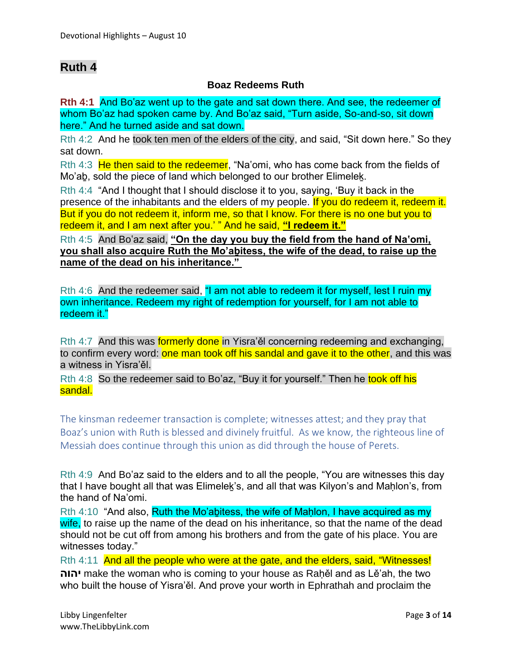## **Ruth 4**

#### **Boaz Redeems Ruth**

**Rth 4:1** And Bo'az went up to the gate and sat down there. And see, the redeemer of whom Bo'az had spoken came by. And Bo'az said, "Turn aside, So-and-so, sit down here." And he turned aside and sat down.

Rth 4:2 And he took ten men of the elders of the city, and said, "Sit down here." So they sat down.

Rth 4:3 He then said to the redeemer, "Na'omi, who has come back from the fields of Mo'ab, sold the piece of land which belonged to our brother Elimelek.

Rth 4:4 "And I thought that I should disclose it to you, saying, 'Buy it back in the presence of the inhabitants and the elders of my people. If you do redeem it, redeem it. But if you do not redeem it, inform me, so that I know. For there is no one but you to redeem it, and I am next after you.' " And he said, **"I redeem it."**

Rth 4:5 And Bo'az said, **"On the day you buy the field from the hand of Na'omi, you shall also acquire Ruth the Mo'aḇitess, the wife of the dead, to raise up the name of the dead on his inheritance."**

Rth 4:6 And the redeemer said, "I am not able to redeem it for myself, lest I ruin my own inheritance. Redeem my right of redemption for yourself, for I am not able to redeem it."

Rth 4:7 And this was **formerly done** in Yisra'ěl concerning redeeming and exchanging, to confirm every word: one man took off his sandal and gave it to the other, and this was a witness in Yisra'ěl.

Rth 4:8 So the redeemer said to Bo'az, "Buy it for yourself." Then he took off his sandal.

The kinsman redeemer transaction is complete; witnesses attest; and they pray that Boaz's union with Ruth is blessed and divinely fruitful. As we know, the righteous line of Messiah does continue through this union as did through the house of Perets.

Rth 4:9 And Bo'az said to the elders and to all the people, "You are witnesses this day that I have bought all that was Elimeleḵ's, and all that was Kilyon's and Maḥlon's, from the hand of Na'omi.

Rth 4:10 "And also, Ruth the Mo'abitess, the wife of Maḥlon, I have acquired as my wife, to raise up the name of the dead on his inheritance, so that the name of the dead should not be cut off from among his brothers and from the gate of his place. You are witnesses today."

Rth 4:11 And all the people who were at the gate, and the elders, said, "Witnesses! **יהוה** make the woman who is coming to your house as Raḥěl and as Lě'ah, the two who built the house of Yisra'ěl. And prove your worth in Ephrathah and proclaim the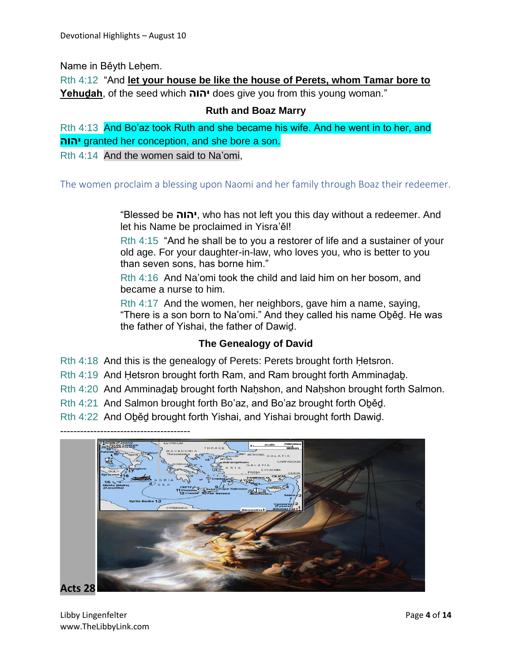Name in Běyth Lehem.

Rth 4:12 "And **let your house be like the house of Perets, whom Tamar bore to Yehuḏah**, of the seed which **יהוה** does give you from this young woman."

#### **Ruth and Boaz Marry**

Rth 4:13 And Bo'az took Ruth and she became his wife. And he went in to her, and **יהוה** granted her conception, and she bore a son.

Rth 4:14 And the women said to Na'omi,

The women proclaim a blessing upon Naomi and her family through Boaz their redeemer.

"Blessed be **יהוה**, who has not left you this day without a redeemer. And let his Name be proclaimed in Yisra'ěl!

Rth 4:15 "And he shall be to you a restorer of life and a sustainer of your old age. For your daughter-in-law, who loves you, who is better to you than seven sons, has borne him."

Rth 4:16 And Na'omi took the child and laid him on her bosom, and became a nurse to him.

Rth 4:17 And the women, her neighbors, gave him a name, saying, "There is a son born to Na'omi." And they called his name Oḇěḏ. He was the father of Yishai, the father of Dawiḏ.

#### **The Genealogy of David**

Rth 4:18 And this is the genealogy of Perets: Perets brought forth Hetsron.

Rth 4:19 And Ḥetsron brought forth Ram, and Ram brought forth Amminaḏaḇ.

Rth 4:20 And Amminadab brought forth Nahshon, and Nahshon brought forth Salmon.

Rth 4:21 And Salmon brought forth Bo'az, and Bo'az brought forth Oḇěḏ.

Rth 4:22 And Oḇěḏ brought forth Yishai, and Yishai brought forth Dawiḏ.

---------------------------------------

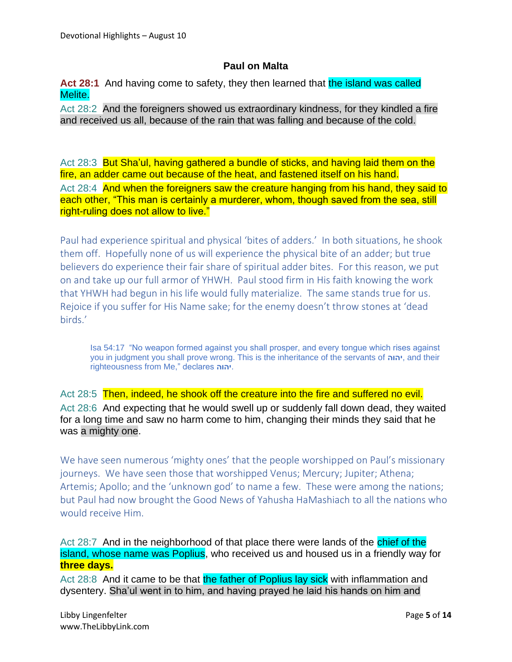#### **Paul on Malta**

Act 28:1 And having come to safety, they then learned that the island was called Melite.

Act 28:2 And the foreigners showed us extraordinary kindness, for they kindled a fire and received us all, because of the rain that was falling and because of the cold.

Act 28:3 But Sha'ul, having gathered a bundle of sticks, and having laid them on the fire, an adder came out because of the heat, and fastened itself on his hand. Act 28:4 And when the foreigners saw the creature hanging from his hand, they said to each other, "This man is certainly a murderer, whom, though saved from the sea, still right-ruling does not allow to live."

Paul had experience spiritual and physical 'bites of adders.' In both situations, he shook them off. Hopefully none of us will experience the physical bite of an adder; but true believers do experience their fair share of spiritual adder bites. For this reason, we put on and take up our full armor of YHWH. Paul stood firm in His faith knowing the work that YHWH had begun in his life would fully materialize. The same stands true for us. Rejoice if you suffer for His Name sake; for the enemy doesn't throw stones at 'dead birds.'

Isa 54:17 "No weapon formed against you shall prosper, and every tongue which rises against you in judgment you shall prove wrong. This is the inheritance of the servants of **יהוה**, and their righteousness from Me," declares **יהוה**.

Act 28:5 Then, indeed, he shook off the creature into the fire and suffered no evil. Act 28:6 And expecting that he would swell up or suddenly fall down dead, they waited for a long time and saw no harm come to him, changing their minds they said that he was a mighty one.

We have seen numerous 'mighty ones' that the people worshipped on Paul's missionary journeys. We have seen those that worshipped Venus; Mercury; Jupiter; Athena; Artemis; Apollo; and the 'unknown god' to name a few. These were among the nations; but Paul had now brought the Good News of Yahusha HaMashiach to all the nations who would receive Him.

Act 28:7 And in the neighborhood of that place there were lands of the chief of the island, whose name was Poplius, who received us and housed us in a friendly way for **three days.**

Act 28:8 And it came to be that the father of Poplius lay sick with inflammation and dysentery. Sha'ul went in to him, and having prayed he laid his hands on him and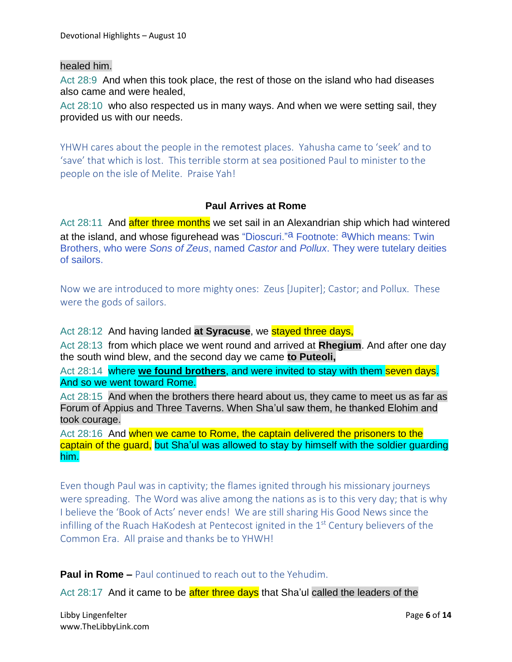#### healed him.

Act 28:9 And when this took place, the rest of those on the island who had diseases also came and were healed,

Act 28:10 who also respected us in many ways. And when we were setting sail, they provided us with our needs.

YHWH cares about the people in the remotest places. Yahusha came to 'seek' and to 'save' that which is lost. This terrible storm at sea positioned Paul to minister to the people on the isle of Melite. Praise Yah!

### **Paul Arrives at Rome**

Act 28:11 And after three months we set sail in an Alexandrian ship which had wintered at the island, and whose figurehead was "Dioscuri."<sup>a</sup> Footnote: <sup>a</sup>Which means: Twin Brothers, who were *Sons of Zeus*, named *Castor* and *Pollux*. They were tutelary deities of sailors.

Now we are introduced to more mighty ones: Zeus [Jupiter]; Castor; and Pollux. These were the gods of sailors.

Act 28:12 And having landed **at Syracuse**, we stayed three days,

Act 28:13 from which place we went round and arrived at **Rhegium**. And after one day the south wind blew, and the second day we came **to Puteoli,**

Act 28:14 where **we found brothers**, and were invited to stay with them seven days. And so we went toward Rome.

Act 28:15 And when the brothers there heard about us, they came to meet us as far as Forum of Appius and Three Taverns. When Sha'ul saw them, he thanked Elohim and took courage.

Act 28:16 And when we came to Rome, the captain delivered the prisoners to the captain of the guard, but Sha'ul was allowed to stay by himself with the soldier guarding him.

Even though Paul was in captivity; the flames ignited through his missionary journeys were spreading. The Word was alive among the nations as is to this very day; that is why I believe the 'Book of Acts' never ends! We are still sharing His Good News since the infilling of the Ruach HaKodesh at Pentecost ignited in the  $1<sup>st</sup>$  Century believers of the Common Era. All praise and thanks be to YHWH!

**Paul in Rome –** Paul continued to reach out to the Yehudim.

Act 28:17 And it came to be after three days that Sha'ul called the leaders of the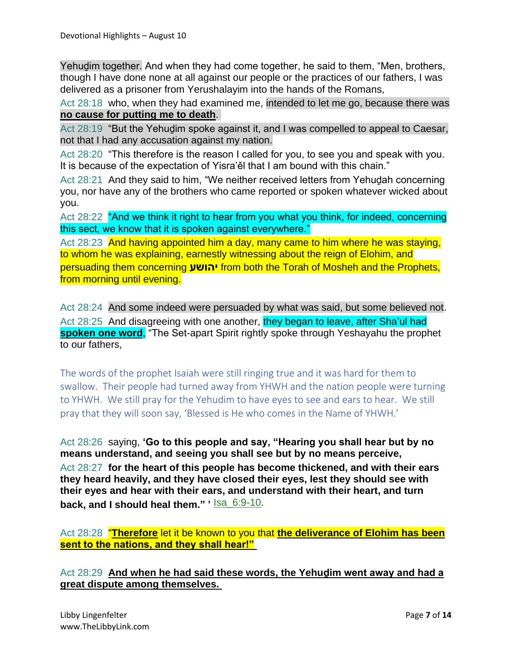Yehuḏim together. And when they had come together, he said to them, "Men, brothers, though I have done none at all against our people or the practices of our fathers, I was delivered as a prisoner from Yerushalayim into the hands of the Romans,

Act 28:18 who, when they had examined me, intended to let me go, because there was **no cause for putting me to death**.

Act 28:19 "But the Yehudim spoke against it, and I was compelled to appeal to Caesar, not that I had any accusation against my nation.

Act 28:20 "This therefore is the reason I called for you, to see you and speak with you. It is because of the expectation of Yisra'ěl that I am bound with this chain."

Act 28:21 And they said to him, "We neither received letters from Yehuḏah concerning you, nor have any of the brothers who came reported or spoken whatever wicked about you.

Act 28:22 "And we think it right to hear from you what you think, for indeed, concerning this sect, we know that it is spoken against everywhere."

Act 28:23 And having appointed him a day, many came to him where he was staying, to whom he was explaining, earnestly witnessing about the reign of Elohim, and persuading them concerning **יהושע** from both the Torah of Mosheh and the Prophets, from morning until evening.

Act 28:24 And some indeed were persuaded by what was said, but some believed not. Act 28:25 And disagreeing with one another, they began to leave, after Sha'ul had **spoken one word**, "The Set-apart Spirit rightly spoke through Yeshayahu the prophet to our fathers,

The words of the prophet Isaiah were still ringing true and it was hard for them to swallow. Their people had turned away from YHWH and the nation people were turning to YHWH. We still pray for the Yehudim to have eyes to see and ears to hear. We still pray that they will soon say, 'Blessed is He who comes in the Name of YHWH.'

Act 28:26 saying, **'Go to this people and say, "Hearing you shall hear but by no means understand, and seeing you shall see but by no means perceive,** Act 28:27 **for the heart of this people has become thickened, and with their ears they heard heavily, and they have closed their eyes, lest they should see with their eyes and hear with their ears, and understand with their heart, and turn back, and I should heal them." '** Isa\_6:9-10.

Act 28:28 "**Therefore** let it be known to you that **the deliverance of Elohim has been sent to the nations, and they shall hear!"**

Act 28:29 **And when he had said these words, the Yehuḏim went away and had a great dispute among themselves.**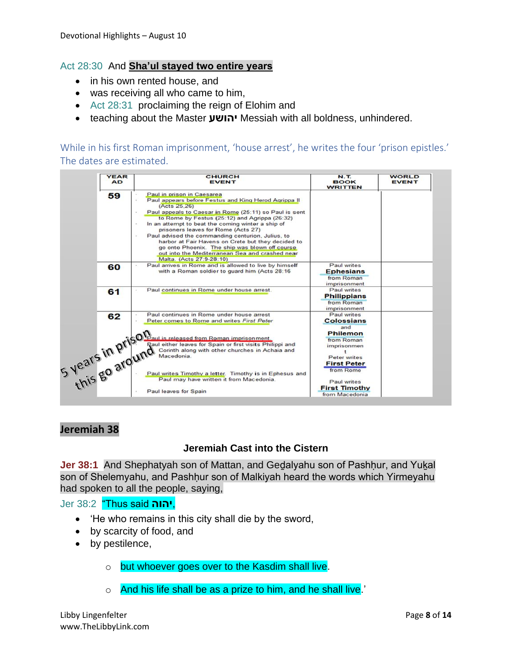#### Act 28:30 And **Sha'ul stayed two entire years**

- in his own rented house, and
- was receiving all who came to him,
- Act 28:31 proclaiming the reign of Elohim and
- teaching about the Master **יהושע** Messiah with all boldness, unhindered.

While in his first Roman imprisonment, 'house arrest', he writes the four 'prison epistles.' The dates are estimated.

| <b>YEAR</b><br><b>AD</b> | <b>CHURCH</b><br><b>EVENT</b>                                                                                                                                                                                                                                                                                                                                                                                                                                                                                                                         | <b>N.T.</b><br><b>BOOK</b><br><b>WRITTEN</b>                         | <b>WORLD</b><br><b>EVENT</b> |
|--------------------------|-------------------------------------------------------------------------------------------------------------------------------------------------------------------------------------------------------------------------------------------------------------------------------------------------------------------------------------------------------------------------------------------------------------------------------------------------------------------------------------------------------------------------------------------------------|----------------------------------------------------------------------|------------------------------|
| 59                       | Paul in prison in Caesarea<br>Paul appears before Festus and King Herod Agrippa II<br>(Acts 25,26)<br>Paul appeals to Caesar in Rome (25:11) so Paul is sent<br>to Rome by Festus (25:12) and Agrippa (26:32)<br>In an attempt to beat the coming winter a ship of<br>prisoners leaves for Rome (Acts 27)<br>Paul advised the commanding centurion, Julius, to<br>harbor at Fair Havens on Crete but they decided to<br>go onto Phoenix. The ship was blown off course<br>out into the Mediterranean Sea and crashed near<br>Malta. (Acts 27:9-28:10) |                                                                      |                              |
| 60                       | Paul arrives in Rome and is allowed to live by himself<br>with a Roman soldier to guard him (Acts 28:16                                                                                                                                                                                                                                                                                                                                                                                                                                               | Paul writes<br><b>Ephesians</b><br>from Roman<br>imprisonment        |                              |
| 61                       | Paul continues in Rome under house arrest.                                                                                                                                                                                                                                                                                                                                                                                                                                                                                                            | Paul writes<br><b>Philippians</b><br>from Roman<br>imprisonment      |                              |
|                          |                                                                                                                                                                                                                                                                                                                                                                                                                                                                                                                                                       | Paul writes<br><b>Colossians</b><br>and<br><b>Philemon</b>           |                              |
|                          | Wear's in prison and write First P.<br>Sammen in the Search of the Baul is released from Roman inprisonment.<br>Simple of the Continuity of the Continuity of the Continuity of the Continuity of the Continuity of the Change of th<br>Raul either leaves for Spain or first visits Philippi and<br>Corinth along with other churches in Achaia and                                                                                                                                                                                                  | from Roman<br>imprisonmen<br>٠<br>Peter writes<br><b>First Peter</b> |                              |
|                          | Paul writes Timothy a letter. Timothy is in Ephesus and<br>Paul may have written it from Macedonia.<br>Paul leaves for Spain                                                                                                                                                                                                                                                                                                                                                                                                                          | from Rome<br>Paul writes<br><b>First Timothy</b>                     |                              |

### **Jeremiah 38**

#### **Jeremiah Cast into the Cistern**

**Jer 38:1** And Shephatyah son of Mattan, and Gedalyahu son of Pashḥur, and Yukal son of Shelemyahu, and Pashhur son of Malkiyah heard the words which Yirmeyahu had spoken to all the people, saying,

#### Jer 38:2 "Thus said **יהוה**,

- 'He who remains in this city shall die by the sword,
- by scarcity of food, and
- by pestilence,
	- o but whoever goes over to the Kasdim shall live.
	- o And his life shall be as a prize to him, and he shall live.'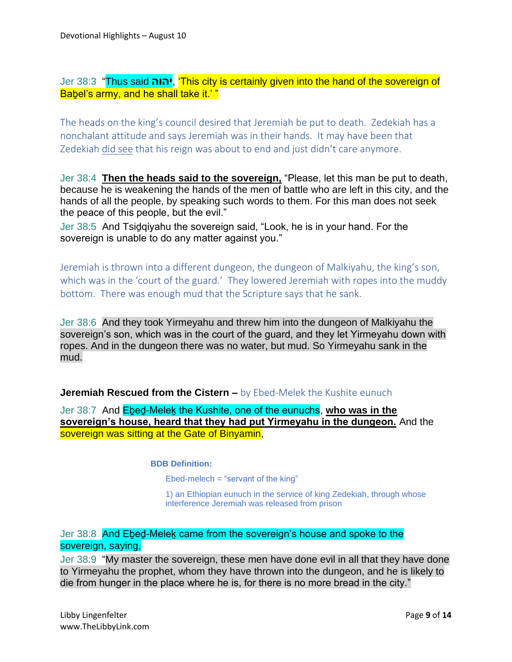Jer 38:3 "Thus said **יהוה**,' This city is certainly given into the hand of the sovereign of Babel's army, and he shall take it.'"

The heads on the king's council desired that Jeremiah be put to death. Zedekiah has a nonchalant attitude and says Jeremiah was in their hands. It may have been that Zedekiah did see that his reign was about to end and just didn't care anymore.

Jer 38:4 **Then the heads said to the sovereign,** "Please, let this man be put to death, because he is weakening the hands of the men of battle who are left in this city, and the hands of all the people, by speaking such words to them. For this man does not seek the peace of this people, but the evil."

Jer 38:5 And Tsiḏqiyahu the sovereign said, "Look, he is in your hand. For the sovereign is unable to do any matter against you."

Jeremiah is thrown into a different dungeon, the dungeon of Malkiyahu, the king's son, which was in the 'court of the guard.' They lowered Jeremiah with ropes into the muddy bottom. There was enough mud that the Scripture says that he sank.

Jer 38:6 And they took Yirmeyahu and threw him into the dungeon of Malkiyahu the sovereign's son, which was in the court of the guard, and they let Yirmeyahu down with ropes. And in the dungeon there was no water, but mud. So Yirmeyahu sank in the mud.

#### **Jeremiah Rescued from the Cistern –** by Ebed-Melek the Kushite eunuch

Jer 38:7 And Eḇeḏ-Meleḵ the Kushite, one of the eunuchs, **who was in the sovereign's house, heard that they had put Yirmeyahu in the dungeon.** And the sovereign was sitting at the Gate of Binyamin,

#### **BDB Definition:**

Ebed-melech  $=$  "servant of the king"

1) an Ethiopian eunuch in the service of king Zedekiah, through whose interference Jeremiah was released from prison

### Jer 38:8 And Ebed-Melek came from the sovereign's house and spoke to the sovereign, saying,

Jer 38:9 "My master the sovereign, these men have done evil in all that they have done to Yirmeyahu the prophet, whom they have thrown into the dungeon, and he is likely to die from hunger in the place where he is, for there is no more bread in the city."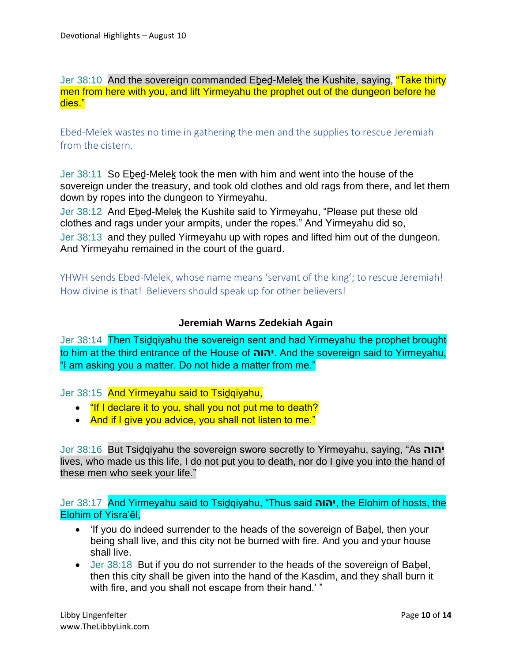Jer 38:10 And the sovereign commanded Ebed-Melek the Kushite, saying, "Take thirty men from here with you, and lift Yirmeyahu the prophet out of the dungeon before he dies."

Ebed-Melek wastes no time in gathering the men and the supplies to rescue Jeremiah from the cistern.

Jer 38:11 So Eḇeḏ-Meleḵ took the men with him and went into the house of the sovereign under the treasury, and took old clothes and old rags from there, and let them down by ropes into the dungeon to Yirmeyahu.

Jer 38:12 And Ebed-Melek the Kushite said to Yirmeyahu, "Please put these old clothes and rags under your armpits, under the ropes." And Yirmeyahu did so,

Jer 38:13 and they pulled Yirmeyahu up with ropes and lifted him out of the dungeon. And Yirmeyahu remained in the court of the guard.

YHWH sends Ebed-Melek, whose name means 'servant of the king'; to rescue Jeremiah! How divine is that! Believers should speak up for other believers!

### **Jeremiah Warns Zedekiah Again**

Jer 38:14 Then Tsidqiyahu the sovereign sent and had Yirmeyahu the prophet brought to him at the third entrance of the House of **יהוה**. And the sovereign said to Yirmeyahu, "I am asking you a matter. Do not hide a matter from me."

Jer 38:15 And Yirmeyahu said to Tsidqiyahu,

- "If I declare it to you, shall you not put me to death?
- And if I give you advice, you shall not listen to me."

Jer 38:16 But Tsiḏqiyahu the sovereign swore secretly to Yirmeyahu, saying, "As **יהוה** lives, who made us this life, I do not put you to death, nor do I give you into the hand of these men who seek your life."

Jer 38:17 And Yirmeyahu said to Tsiḏqiyahu, "Thus said **יהוה**, the Elohim of hosts, the Elohim of Yisra'ěl,

- If you do indeed surrender to the heads of the sovereign of Babel, then your being shall live, and this city not be burned with fire. And you and your house shall live.
- Jer 38:18 But if you do not surrender to the heads of the sovereign of Babel, then this city shall be given into the hand of the Kasdim, and they shall burn it with fire, and you shall not escape from their hand.' "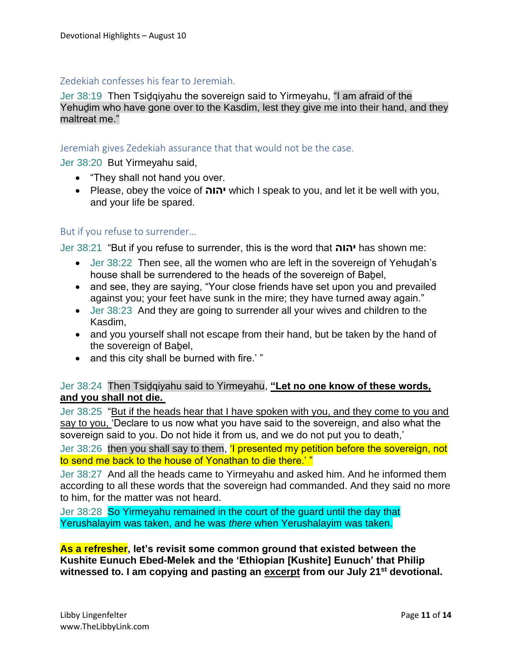#### Zedekiah confesses his fear to Jeremiah.

Jer 38:19 Then Tsiḏqiyahu the sovereign said to Yirmeyahu, "I am afraid of the Yehudim who have gone over to the Kasdim, lest they give me into their hand, and they maltreat me."

#### Jeremiah gives Zedekiah assurance that that would not be the case.

Jer 38:20 But Yirmeyahu said,

- "They shall not hand you over.
- Please, obey the voice of **יהוה** which I speak to you, and let it be well with you, and your life be spared.

#### But if you refuse to surrender…

Jer 38:21 "But if you refuse to surrender, this is the word that **יהוה** has shown me:

- Jer 38:22 Then see, all the women who are left in the sovereign of Yehudah's house shall be surrendered to the heads of the sovereign of Baḇel,
- and see, they are saying, "Your close friends have set upon you and prevailed against you; your feet have sunk in the mire; they have turned away again."
- Jer 38:23 And they are going to surrender all your wives and children to the Kasdim,
- and you yourself shall not escape from their hand, but be taken by the hand of the sovereign of Babel,
- and this city shall be burned with fire.'"

#### Jer 38:24 Then Tsiḏqiyahu said to Yirmeyahu, **"Let no one know of these words, and you shall not die.**

Jer 38:25 "But if the heads hear that I have spoken with you, and they come to you and say to you, 'Declare to us now what you have said to the sovereign, and also what the sovereign said to you. Do not hide it from us, and we do not put you to death,'

Jer 38:26 then you shall say to them, **I presented my petition before the sovereign, not** to send me back to the house of Yonathan to die there.' "

Jer 38:27 And all the heads came to Yirmeyahu and asked him. And he informed them according to all these words that the sovereign had commanded. And they said no more to him, for the matter was not heard.

Jer 38:28 So Yirmeyahu remained in the court of the guard until the day that Yerushalayim was taken, and he was *there* when Yerushalayim was taken.

**As a refresher, let's revisit some common ground that existed between the Kushite Eunuch Ebed-Melek and the 'Ethiopian [Kushite] Eunuch' that Philip witnessed to. I am copying and pasting an excerpt from our July 21st devotional.**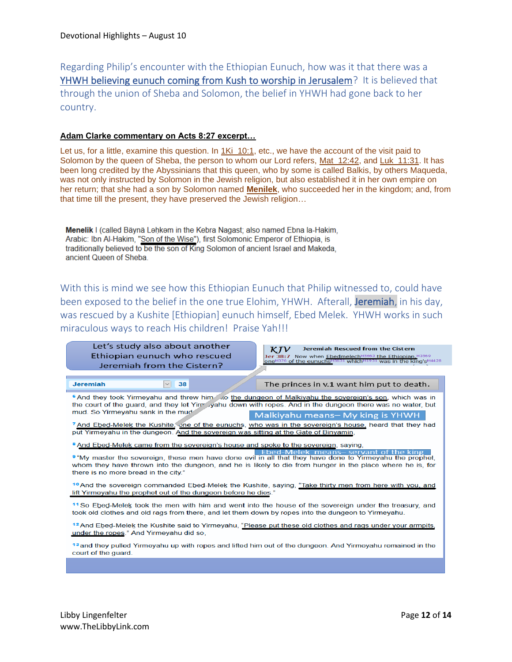Regarding Philip's encounter with the Ethiopian Eunuch, how was it that there was a YHWH believing eunuch coming from Kush to worship in Jerusalem? It is believed that through the union of Sheba and Solomon, the belief in YHWH had gone back to her country.

#### **Adam Clarke commentary on Acts 8:27 excerpt…**

Let us, for a little, examine this question. In 1Ki\_10:1, etc., we have the account of the visit paid to Solomon by the queen of Sheba, the person to whom our Lord refers, Mat\_12:42, and Luk\_11:31. It has been long credited by the Abyssinians that this queen, who by some is called Balkis, by others Maqueda, was not only instructed by Solomon in the Jewish religion, but also established it in her own empire on her return; that she had a son by Solomon named **Menilek**, who succeeded her in the kingdom; and, from that time till the present, they have preserved the Jewish religion…

Menelik I (called Bäynä Lahkam in the Kebra Nagast; also named Ebna la-Hakim, Arabic: Ibn Al-Hakim, "Son of the Wise"), first Solomonic Emperor of Ethiopia, is traditionally believed to be the son of King Solomon of ancient Israel and Makeda, ancient Queen of Sheba.

With this is mind we see how this Ethiopian Eunuch that Philip witnessed to, could have been exposed to the belief in the one true Elohim, YHWH. Afterall, Jeremiah, in his day, was rescued by a Kushite [Ethiopian] eunuch himself, Ebed Melek. YHWH works in such miraculous ways to reach His children! Praise Yah!!!

| Let's study also about another<br><b>Jeremiah Rescued from the Cistern</b><br>ĸі<br>Ethiopian eunuch who rescued<br>Jer 38:7 Now when Ebedmelech <sup>H5663</sup> the Ethiopian. H3569<br>one <sup>H376</sup> of the eunuchs <sup>H5631</sup> which <sup>H1931</sup> was in the king's <sup>H4428</sup><br>Jeremiah from the Cistern?                                                                      |  |  |  |  |  |
|------------------------------------------------------------------------------------------------------------------------------------------------------------------------------------------------------------------------------------------------------------------------------------------------------------------------------------------------------------------------------------------------------------|--|--|--|--|--|
| 38<br><b>Jeremiah</b><br>$\checkmark$<br>The princes in v.1 want him put to death.                                                                                                                                                                                                                                                                                                                         |  |  |  |  |  |
| 6 And they took Yirmeyahu and threw him to the dungeon of Malkiyahu the sovereign's son, which was in<br>the court of the guard, and they let Yirr yahu down with ropes. And in the dungeon there was no water, but                                                                                                                                                                                        |  |  |  |  |  |
| mud. So Yirmeyahu sank in the mud-<br>Malkiyahu means- My king is YHWH<br>7 And Ebed-Melek the Kushite, one of the eunuchs, who was in the sovereign's house, heard that they had                                                                                                                                                                                                                          |  |  |  |  |  |
| put Yirmeyahu in the dungeon. And the sovereign was sitting at the Gate of Binyamin,                                                                                                                                                                                                                                                                                                                       |  |  |  |  |  |
| <sup>8</sup> And Ebed-Melek came from the sovereign's house and spoke to the sovereign, saying,<br>elek means-servant of the king<br><b>9</b> "My master the sovereign, these men have done evil in all that they have done to Yirmeyahu the prophet,<br>whom they have thrown into the dungeon, and he is likely to die from hunger in the place where he is, for<br>there is no more bread in the city." |  |  |  |  |  |
| 10 And the sovereign commanded Ebed-Melek the Kushite, saying, "Take thirty men from here with you, and<br>lift Yirmeyahu the prophet out of the dungeon before he dies."                                                                                                                                                                                                                                  |  |  |  |  |  |
| <sup>11</sup> So Ebed-Melek took the men with him and went into the house of the sovereign under the treasury, and<br>took old clothes and old rags from there, and let them down by ropes into the dungeon to Yirmeyahu.                                                                                                                                                                                  |  |  |  |  |  |
| <sup>12</sup> And Ebed-Melek the Kushite said to Yirmeyahu, "Please put these old clothes and rags under your armpits,<br>under the ropes." And Yirmeyahu did so,                                                                                                                                                                                                                                          |  |  |  |  |  |
| 13 and they pulled Yirmeyahu up with ropes and lifted him out of the dungeon. And Yirmeyahu remained in the<br>court of the quard.                                                                                                                                                                                                                                                                         |  |  |  |  |  |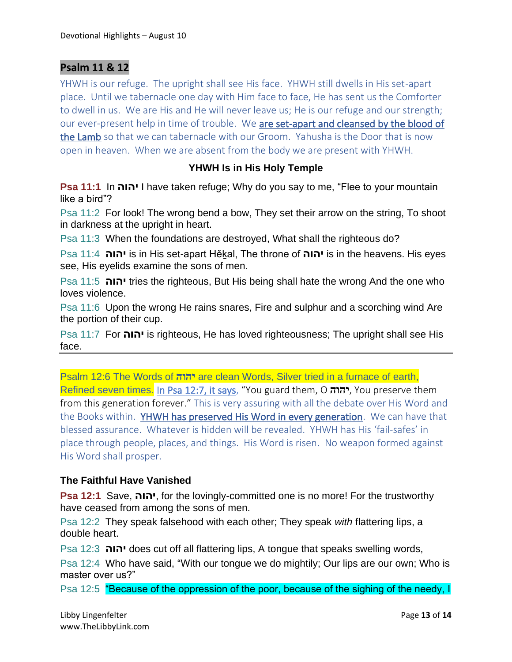### **Psalm 11 & 12**

YHWH is our refuge. The upright shall see His face. YHWH still dwells in His set-apart place. Until we tabernacle one day with Him face to face, He has sent us the Comforter to dwell in us. We are His and He will never leave us; He is our refuge and our strength; our ever-present help in time of trouble. We are set-apart and cleansed by the blood of the Lamb so that we can tabernacle with our Groom. Yahusha is the Door that is now open in heaven. When we are absent from the body we are present with YHWH.

#### **YHWH Is in His Holy Temple**

**Psa 11:1** In **יהוה** I have taken refuge; Why do you say to me, "Flee to your mountain like a bird"?

Psa 11:2 For look! The wrong bend a bow, They set their arrow on the string, To shoot in darkness at the upright in heart.

Psa 11:3 When the foundations are destroyed, What shall the righteous do?

Psa 11:4 **יהוה** is in His set-apart Hěḵal, The throne of **יהוה** is in the heavens. His eyes see, His eyelids examine the sons of men.

Psa 11:5 **יהוה** tries the righteous, But His being shall hate the wrong And the one who loves violence.

Psa 11:6 Upon the wrong He rains snares, Fire and sulphur and a scorching wind Are the portion of their cup.

Psa 11:7 For **יהוה** is righteous, He has loved righteousness; The upright shall see His face.

Psalm 12:6 The Words of **יהוה** are clean Words, Silver tried in a furnace of earth, Refined seven times. In Psa 12:7, it says, "You guard them, O **יהוה**, You preserve them from this generation forever." This is very assuring with all the debate over His Word and the Books within. YHWH has preserved His Word in every generation. We can have that blessed assurance. Whatever is hidden will be revealed. YHWH has His 'fail-safes' in place through people, places, and things. His Word is risen. No weapon formed against His Word shall prosper.

#### **The Faithful Have Vanished**

**Psa 12:1** Save, **יהוה**, for the lovingly-committed one is no more! For the trustworthy have ceased from among the sons of men.

Psa 12:2 They speak falsehood with each other; They speak *with* flattering lips, a double heart.

Psa 12:3 **יהוה** does cut off all flattering lips, A tongue that speaks swelling words,

Psa 12:4 Who have said, "With our tongue we do mightily; Our lips are our own; Who is master over us?"

Psa 12:5 "Because of the oppression of the poor, because of the sighing of the needy, I